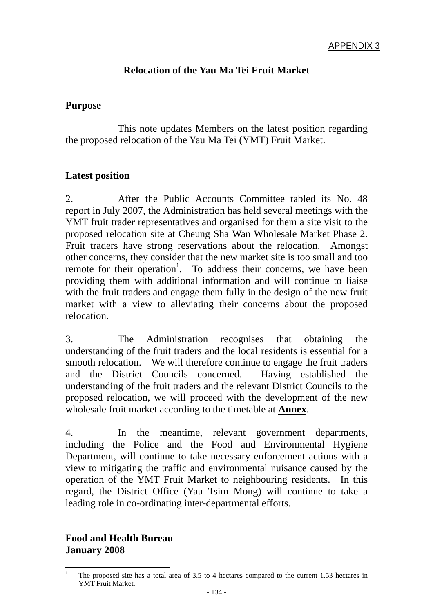# **Relocation of the Yau Ma Tei Fruit Market**

#### **Purpose**

 This note updates Members on the latest position regarding the proposed relocation of the Yau Ma Tei (YMT) Fruit Market.

## **Latest position**

2. After the Public Accounts Committee tabled its No. 48 report in July 2007, the Administration has held several meetings with the YMT fruit trader representatives and organised for them a site visit to the proposed relocation site at Cheung Sha Wan Wholesale Market Phase 2. Fruit traders have strong reservations about the relocation. Amongst other concerns, they consider that the new market site is too small and too remote for their operation<sup>1</sup>. To address their concerns, we have been providing them with additional information and will continue to liaise with the fruit traders and engage them fully in the design of the new fruit market with a view to alleviating their concerns about the proposed relocation.

3. The Administration recognises that obtaining the understanding of the fruit traders and the local residents is essential for a smooth relocation. We will therefore continue to engage the fruit traders and the District Councils concerned. Having established the understanding of the fruit traders and the relevant District Councils to the proposed relocation, we will proceed with the development of the new wholesale fruit market according to the timetable at **Annex**.

4. In the meantime, relevant government departments, including the Police and the Food and Environmental Hygiene Department, will continue to take necessary enforcement actions with a view to mitigating the traffic and environmental nuisance caused by the operation of the YMT Fruit Market to neighbouring residents. In this regard, the District Office (Yau Tsim Mong) will continue to take a leading role in co-ordinating inter-departmental efforts.

## **Food and Health Bureau January 2008**

 $\frac{1}{1}$  The proposed site has a total area of 3.5 to 4 hectares compared to the current 1.53 hectares in YMT Fruit Market.